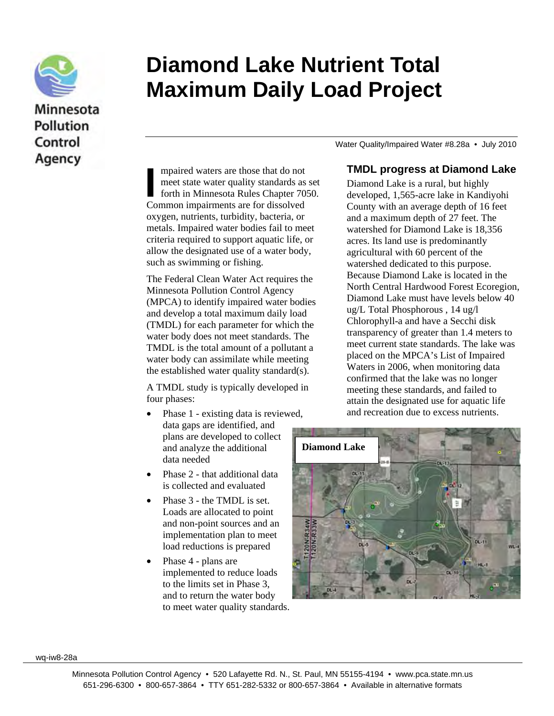

## Minnesota **Pollution** Control Agency

# **Diamond Lake Nutrient Total Maximum Daily Load Project**

Water Quality/Impaired Water #8.28a • July 2010

mpaired waters are those that do not meet state water quality standards as set forth in Minnesota Rules Chapter 7050. mpaired waters are those that do not<br>meet state water quality standards as<br>forth in Minnesota Rules Chapter 70<br>Common impairments are for dissolved oxygen, nutrients, turbidity, bacteria, or metals. Impaired water bodies fail to meet criteria required to support aquatic life, or allow the designated use of a water body, such as swimming or fishing.

The Federal Clean Water Act requires the Minnesota Pollution Control Agency (MPCA) to identify impaired water bodies and develop a total maximum daily load (TMDL) for each parameter for which the water body does not meet standards. The TMDL is the total amount of a pollutant a water body can assimilate while meeting the established water quality standard(s).

A TMDL study is typically developed in four phases:

- Phase 1 existing data is reviewed, data gaps are identified, and plans are developed to collect and analyze the additional data needed
- Phase 2 that additional data is collected and evaluated
- Phase 3 the TMDL is set. Loads are allocated to point and non-point sources and an implementation plan to meet load reductions is prepared
- Phase 4 plans are implemented to reduce loads to the limits set in Phase 3, and to return the water body to meet water quality standards.

#### **TMDL progress at Diamond Lake**

Diamond Lake is a rural, but highly developed, 1,565-acre lake in Kandiyohi County with an average depth of 16 feet and a maximum depth of 27 feet. The watershed for Diamond Lake is 18,356 acres. Its land use is predominantly agricultural with 60 percent of the watershed dedicated to this purpose. Because Diamond Lake is located in the North Central Hardwood Forest Ecoregion, Diamond Lake must have levels below 40 ug/L Total Phosphorous , 14 ug/l Chlorophyll-a and have a Secchi disk transparency of greater than 1.4 meters to meet current state standards. The lake was placed on the MPCA's List of Impaired Waters in 2006, when monitoring data confirmed that the lake was no longer meeting these standards, and failed to attain the designated use for aquatic life and recreation due to excess nutrients.



wq-iw8-28a